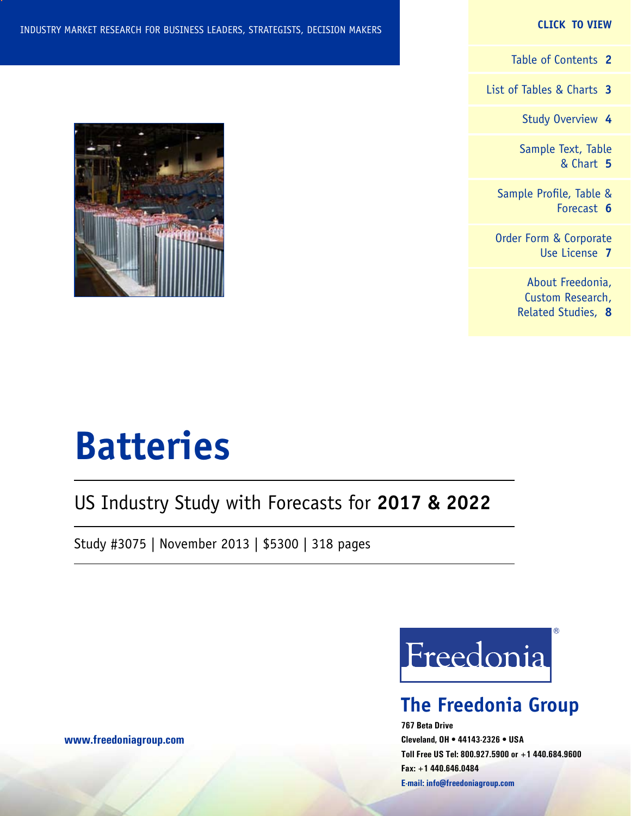## **CLICK TO VIEW**

[Table of Contents](#page-1-0) **2**

[List of Tables & Charts](#page-2-0) **3**

[Study Overview](#page-3-0) **4**

[Sample Text, Table](#page-4-0) [& Chart](#page-4-0) **5**

[Sample Profile, Table &](#page-5-0) [Forecast](#page-5-0) **6**

[Order Form & Corporate](#page-6-0) [Use License](#page-6-0) **7**

> [About Freedonia,](#page-7-0) [Custom Research,](#page-7-0) [Related Studies,](#page-7-0) **8**



# **Batteries**

## US Industry Study with Forecasts for **2017 & 2022**

Study #3075 | November 2013 | \$5300 | 318 pages



## **The Freedonia Group**

**767 Beta Drive Cleveland, OH • 44143-2326 • USA Toll Free US Tel: 800.927.5900 or +1 440.684.9600 Fax: +1 440.646.0484 E-mail: [info@freedoniagroup.com](mailto:info@freedoniagroup.com)**

**[www.freedoniagroup.com](http://www.freedoniagroup.com/Home.aspx?ReferrerId=FM-Bro)**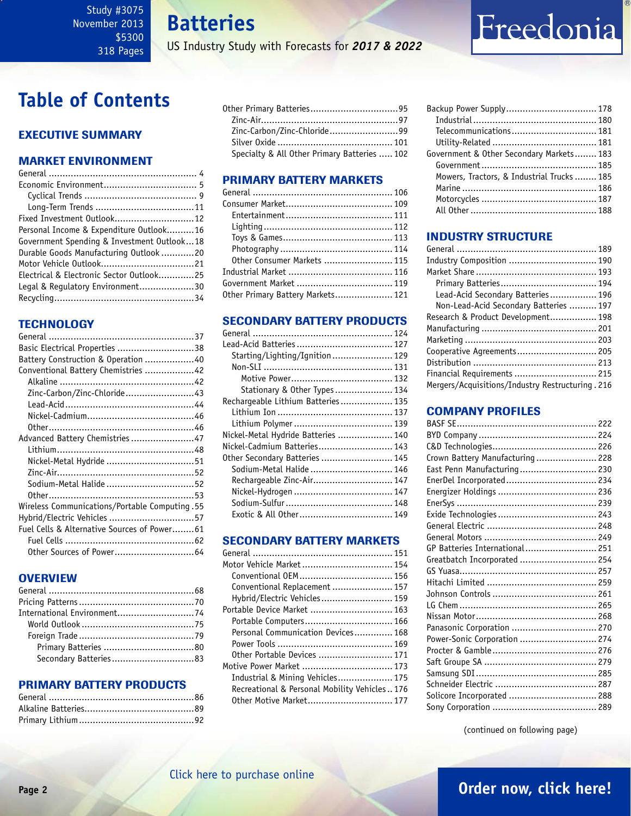**Batteries**

US Industry Study with Forecasts for *2017 & 2022*

## <span id="page-1-0"></span>**Table of Contents**

## Executive Summary

## Market EnvironmenT

| Fixed Investment Outlook 12                |  |
|--------------------------------------------|--|
| Personal Income & Expenditure Outlook16    |  |
| Government Spending & Investment Outlook18 |  |
| Durable Goods Manufacturing Outlook 20     |  |
|                                            |  |
| Electrical & Electronic Sector Outlook25   |  |
| Legal & Regulatory Environment30           |  |
|                                            |  |
|                                            |  |

## **TECHNOLOGY**

| Basic Electrical Properties 38                 |  |
|------------------------------------------------|--|
| Battery Construction & Operation 40            |  |
| Conventional Battery Chemistries 42            |  |
|                                                |  |
| Zinc-Carbon/Zinc-Chloride43                    |  |
|                                                |  |
|                                                |  |
|                                                |  |
| Advanced Battery Chemistries47                 |  |
|                                                |  |
| Nickel-Metal Hydride 51                        |  |
|                                                |  |
| Sodium-Metal Halide 52                         |  |
|                                                |  |
| 55. Wireless Communications/Portable Computing |  |
| Hybrid/Electric Vehicles 57                    |  |
| Fuel Cells & Alternative Sources of Power61    |  |
|                                                |  |
|                                                |  |
|                                                |  |

## **OVERVIEW**

## PRIMARY BATTERY PRODUCTS

| Zinc-Carbon/Zinc-Chloride99                  |  |
|----------------------------------------------|--|
|                                              |  |
| Specialty & All Other Primary Batteries  102 |  |

## PRIMARY BATTERY MARKETS

| Other Consumer Markets  115       |  |
|-----------------------------------|--|
|                                   |  |
| Government Market  119            |  |
| Other Primary Battery Markets 121 |  |
|                                   |  |

## SECONDARY BATTERY PRODUCTS

| Starting/Lighting/Ignition 129      |  |
|-------------------------------------|--|
|                                     |  |
|                                     |  |
| Stationary & Other Types 134        |  |
| Rechargeable Lithium Batteries 135  |  |
|                                     |  |
|                                     |  |
| Nickel-Metal Hydride Batteries  140 |  |
| Nickel-Cadmium Batteries 143        |  |
| Other Secondary Batteries  145      |  |
| Sodium-Metal Halide  146            |  |
| Rechargeable Zinc-Air 147           |  |
|                                     |  |
|                                     |  |
| Exotic & All Other 149              |  |
|                                     |  |

## SECONDARY BATTERY MARKETS

| Motor Vehicle Market  154                     |  |
|-----------------------------------------------|--|
| Conventional OEM 156                          |  |
| Conventional Replacement  157                 |  |
| Hybrid/Electric Vehicles 159                  |  |
| Portable Device Market  163                   |  |
| Portable Computers 166                        |  |
| Personal Communication Devices 168            |  |
|                                               |  |
| Other Portable Devices  171                   |  |
| Motive Power Market  173                      |  |
| Industrial & Mining Vehicles 175              |  |
| Recreational & Personal Mobility Vehicles 176 |  |
|                                               |  |
|                                               |  |

| Backup Power Supply 178                   |  |
|-------------------------------------------|--|
|                                           |  |
| Telecommunications 181                    |  |
|                                           |  |
| Government & Other Secondary Markets 183  |  |
|                                           |  |
| Mowers, Tractors, & Industrial Trucks 185 |  |
|                                           |  |
|                                           |  |
|                                           |  |

Freedonia

## INDUSTRY STRUCTURE

| Lead-Acid Secondary Batteries 196                 |  |
|---------------------------------------------------|--|
| Non-Lead-Acid Secondary Batteries  197            |  |
| Research & Product Development 198                |  |
|                                                   |  |
|                                                   |  |
| Cooperative Agreements 205                        |  |
|                                                   |  |
| Financial Requirements  215                       |  |
| Mergers/Acquisitions/Industry Restructuring . 216 |  |

## Company Profiles

| Crown Battery Manufacturing  228 |  |
|----------------------------------|--|
| East Penn Manufacturing 230      |  |
| EnerDel Incorporated 234         |  |
|                                  |  |
|                                  |  |
|                                  |  |
|                                  |  |
|                                  |  |
| GP Batteries International 251   |  |
| Greatbatch Incorporated  254     |  |
|                                  |  |
|                                  |  |
|                                  |  |
|                                  |  |
|                                  |  |
|                                  |  |
| Panasonic Corporation  270       |  |
| Power-Sonic Corporation  274     |  |
|                                  |  |
|                                  |  |
|                                  |  |
|                                  |  |
|                                  |  |

(continued on following page)

## **Page 2 [Order now, click here!](#page-6-0)**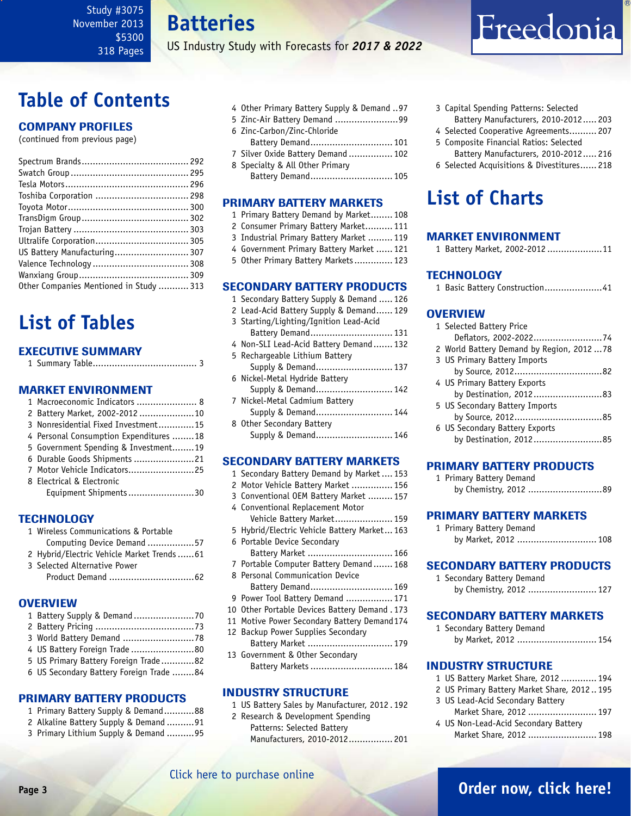## **Batteries**

US Industry Study with Forecasts for *2017 & 2022*

# <span id="page-2-0"></span>**Table of Contents**

## Company Profiles

(continued from previous page)

| US Battery Manufacturing 307            |
|-----------------------------------------|
|                                         |
|                                         |
| Other Companies Mentioned in Study  313 |
|                                         |

# **List of Tables**

## Executive Summary

|--|--|--|--|

## Market EnvironmenT

| 1 Macroeconomic Indicators  8          |  |
|----------------------------------------|--|
| 2 Battery Market, 2002-2012 10         |  |
| 3 Nonresidential Fixed Investment15    |  |
| 4 Personal Consumption Expenditures 18 |  |
| 5 Government Spending & Investment19   |  |
| 6 Durable Goods Shipments 21           |  |
| 7 Motor Vehicle Indicators25           |  |
| 8 Electrical & Electronic              |  |
| Equipment Shipments30                  |  |

## **TECHNOLOGY**

| 1 Wireless Communications & Portable        |
|---------------------------------------------|
| Computing Device Demand 57                  |
| 2 Hybrid/Electric Vehicle Market Trends  61 |
| 3 Selected Alternative Power                |
|                                             |

## **OVERVIEW**

| 4 US Battery Foreign Trade 80           |
|-----------------------------------------|
| 5 US Primary Battery Foreign Trade82    |
| 6 US Secondary Battery Foreign Trade 84 |
|                                         |

### PRIMARY BATTERY PRODUCTS

- 1 Primary Battery Supply & Demand...........88
- 2 Alkaline Battery Supply & Demand ..........91
- 3 Primary Lithium Supply & Demand ..........95
- 4 Other Primary Battery Supply & Demand ..97
- 5 Zinc-Air Battery Demand .......................99
- 6 Zinc-Carbon/Zinc-Chloride
- Battery Demand.............................. 101
- 7 Silver Oxide Battery Demand ................ 102 8 Specialty & All Other Primary

Battery Demand.............................. 105

## PRIMARY BATTERY MARKETS

- 1 Primary Battery Demand by Market........ 108
- 2 Consumer Primary Battery Market.......... 111
- 3 Industrial Primary Battery Market ......... 119
- 4 Government Primary Battery Market ...... 121
- 5 Other Primary Battery Markets.............. 123

## SECONDARY BATTERY PRODUCTS

- 1 Secondary Battery Supply & Demand ..... 126
- 2 Lead-Acid Battery Supply & Demand...... 129
- 3 Starting/Lighting/Ignition Lead-Acid
- Battery Demand.............................. 131 4 Non-SLI Lead-Acid Battery Demand....... 132 5 Rechargeable Lithium Battery
- Supply & Demand............................ 137 6 Nickel-Metal Hydride Battery Supply & Demand............................ 142 7 Nickel-Metal Cadmium Battery
- Supply & Demand............................ 144 8 Other Secondary Battery
- Supply & Demand............................ 146

## SECONDARY BATTERY MARKETS

- 1 Secondary Battery Demand by Market .... 153
- 2 Motor Vehicle Battery Market ............... 156
- 3 Conventional OEM Battery Market ......... 157
- 4 Conventional Replacement Motor Vehicle Battery Market..................... 159
- 5 Hybrid/Electric Vehicle Battery Market... 163
- 6 Portable Device Secondary Battery Market ............................... 166
- 7 Portable Computer Battery Demand ....... 168
- 8 Personal Communication Device Battery Demand.............................. 169
- 9 Power Tool Battery Demand ................. 171
- 10 Other Portable Devices Battery Demand . 173
- 11 Motive Power Secondary Battery Demand174
- 12 Backup Power Supplies Secondary
- Battery Market ............................... 179 13 Government & Other Secondary Battery Markets.............................. 184

## INDUSTRY STRUCTURE

- 1 US Battery Sales by Manufacturer, 2012 . 192 2 Research & Development Spending
- Patterns: Selected Battery Manufacturers, 2010-2012................ 201
- 3 Capital Spending Patterns: Selected Battery Manufacturers, 2010-2012..... 203
- 4 Selected Cooperative Agreements.......... 207
- 5 Composite Financial Ratios: Selected Battery Manufacturers, 2010-2012..... 216
- 6 Selected Acquisitions & Divestitures...... 218

# **List of Charts**

## MARKET ENVIRONMENT

1 Battery Market, 2002-2012 ....................11

## **TECHNOLOGY**

1 Basic Battery Construction.....................41

## **OVERVIEW**

| 1 Selected Battery Price                 |
|------------------------------------------|
| Deflators, 2002-202274                   |
| 2 World Battery Demand by Region, 201278 |
| 3 US Primary Battery Imports             |
|                                          |
| 4 US Primary Battery Exports             |
| by Destination, 201283                   |
| 5 US Secondary Battery Imports           |
|                                          |
| 6 US Secondary Battery Exports           |
| by Destination, 201285                   |
|                                          |

## PRIMARY BATTERY PRODUCTS

| 1 Primary Battery Demand |                       |
|--------------------------|-----------------------|
|                          | by Chemistry, 2012 89 |

## PRIMARY BATTERY MARKETS

1 Primary Battery Demand by Market, 2012 ............................. 108

## SECONDARY BATTERY PRODUCTS

1 Secondary Battery Demand by Chemistry, 2012 ......................... 127

## SECONDARY BATTERY MARKETS

1 Secondary Battery Demand by Market, 2012 ............................. 154

### INDUSTRY STRUCTURE

- 1 US Battery Market Share, 2012 ............. 194
- 2 US Primary Battery Market Share, 2012 .. 195
- 3 US Lead-Acid Secondary Battery Market Share, 2012 ......................... 197
- 4 US Non-Lead-Acid Secondary Battery Market Share, 2012 .......................... 198

## [Click here to purchase online](http://www.freedoniagroup.com/DocumentDetails.aspx?Referrerid=FM-Bro&StudyID=3075)

## **Page 3 [Order now, click here!](#page-6-0)**

# Freedonia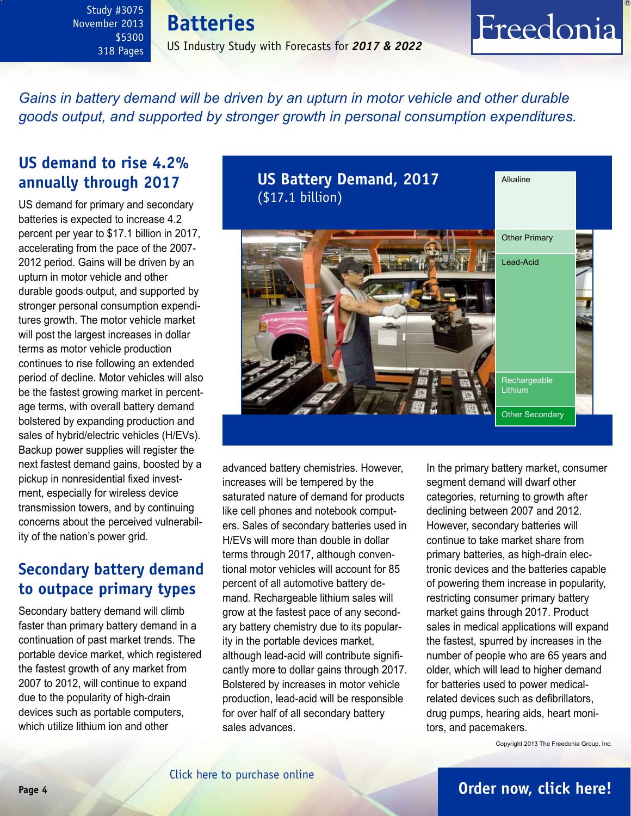**Batteries** US Industry Study with Forecasts for *2017 & 2022*

<span id="page-3-0"></span>*Gains in battery demand will be driven by an upturn in motor vehicle and other durable goods output, and supported by stronger growth in personal consumption expenditures.*

## **US demand to rise 4.2% annually through 2017**

US demand for primary and secondary batteries is expected to increase 4.2 percent per year to \$17.1 billion in 2017, accelerating from the pace of the 2007- 2012 period. Gains will be driven by an upturn in motor vehicle and other durable goods output, and supported by stronger personal consumption expenditures growth. The motor vehicle market will post the largest increases in dollar terms as motor vehicle production continues to rise following an extended period of decline. Motor vehicles will also be the fastest growing market in percentage terms, with overall battery demand bolstered by expanding production and sales of hybrid/electric vehicles (H/EVs). Backup power supplies will register the next fastest demand gains, boosted by a pickup in nonresidential fixed investment, especially for wireless device transmission towers, and by continuing concerns about the perceived vulnerability of the nation's power grid.

## **Secondary battery demand to outpace primary types**

Secondary battery demand will climb faster than primary battery demand in a continuation of past market trends. The portable device market, which registered the fastest growth of any market from 2007 to 2012, will continue to expand due to the popularity of high-drain devices such as portable computers, which utilize lithium ion and other



advanced battery chemistries. However, increases will be tempered by the saturated nature of demand for products like cell phones and notebook computers. Sales of secondary batteries used in H/EVs will more than double in dollar terms through 2017, although conventional motor vehicles will account for 85 percent of all automotive battery demand. Rechargeable lithium sales will grow at the fastest pace of any secondary battery chemistry due to its popularity in the portable devices market, although lead-acid will contribute significantly more to dollar gains through 2017. Bolstered by increases in motor vehicle production, lead-acid will be responsible for over half of all secondary battery sales advances.

In the primary battery market, consumer segment demand will dwarf other categories, returning to growth after declining between 2007 and 2012. However, secondary batteries will continue to take market share from primary batteries, as high-drain electronic devices and the batteries capable of powering them increase in popularity, restricting consumer primary battery market gains through 2017. Product sales in medical applications will expand the fastest, spurred by increases in the number of people who are 65 years and older, which will lead to higher demand for batteries used to power medicalrelated devices such as defibrillators, drug pumps, hearing aids, heart monitors, and pacemakers.

Freedonia

Copyright 2013 The Freedonia Group, Inc.

## **Page 4 [Order now, click here!](#page-6-0)**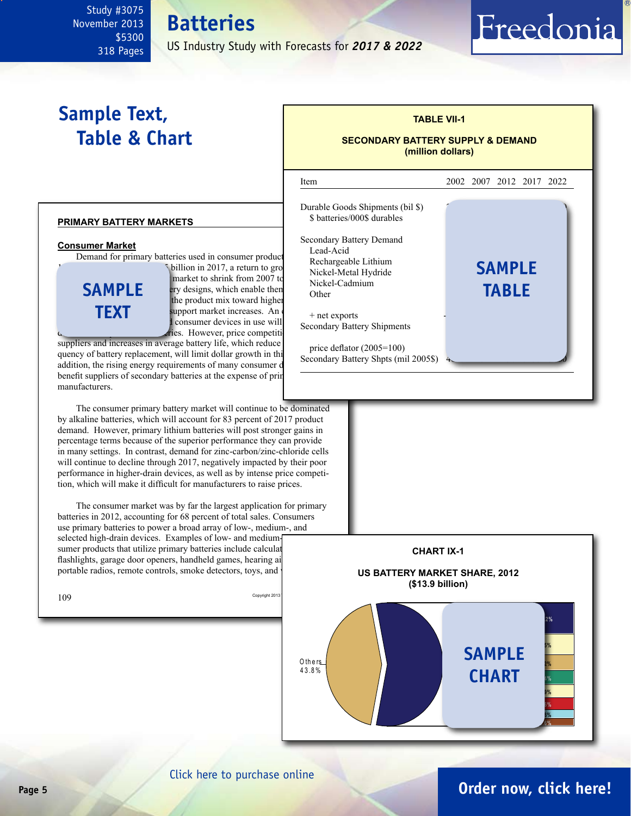#### <span id="page-4-0"></span>Study #3075 November 2013 \$5300 **Batteries**

US Industry Study with Forecasts for *2017 & 2022*

# **Sample Text, Table & Chart**

318 Pages

### **primary battery markets**

### **Consumer Market**

Demand for primary batteries used in consumer product



billion in 2017, a return to growth market to shrink from 2007 to  $E_{\text{F}}$  ry designs, which enable then the used of been the product mix toward higher support market increases. An consumer devices in use will ries. However, price competiti

suppliers and increases in average battery life, which reduce quency of battery replacement, will limit dollar growth in this addition, the rising energy requirements of many consumer benefit suppliers of secondary batteries at the expense of prin manufacturers.

The consumer primary battery market will continue to be dominated by alkaline batteries, which will account for 83 percent of 2017 product demand. However, primary lithium batteries will post stronger gains in percentage terms because of the superior performance they can provide in many settings. In contrast, demand for zinc-carbon/zinc-chloride cells will continue to decline through 2017, negatively impacted by their poor performance in higher-drain devices, as well as by intense price competition, which will make it difficult for manufacturers to raise prices.

The consumer market was by far the largest application for primary batteries in 2012, accounting for 68 percent of total sales. Consumers use primary batteries to power a broad array of low-, medium-, and selected high-drain devices. Examples of low- and mediumsumer products that utilize primary batteries include calculat flashlights, garage door openers, handheld games, hearing ai portable radios, remote controls, smoke detectors, toys, and

| 109 | Copyright 2013 |  |
|-----|----------------|--|
|     |                |  |



**TABLE VII-1**

Freedonia



## **Page 5 [Order now, click here!](#page-6-0)**

## [Click here to purchase online](http://www.freedoniagroup.com/DocumentDetails.aspx?Referrerid=FM-Bro&StudyID=3075)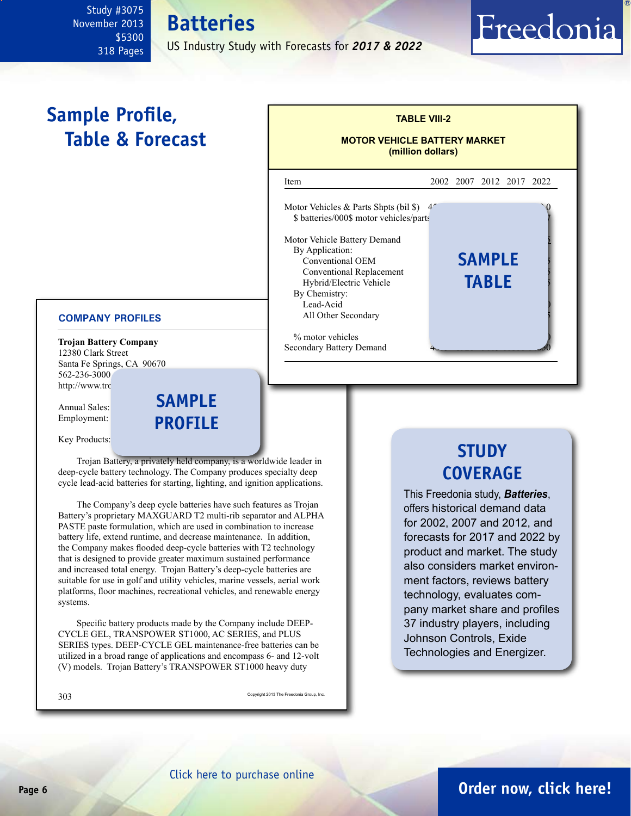## US Industry Study with Forecasts for *2017 & 2022*

l

**Batteries**

# <span id="page-5-0"></span>**Sample Profile, Table & Forecast**

## **COMPANY PROFILES**

**Trojan Battery Company** 12380 Clark Street Santa Fe Springs, CA 90670 562-236-3000 http://www.trc

Annual Sales: Employment:

**sample profile**

Key Products:

Trojan Battery, a privately held company, is a worldwide leader in deep-cycle battery technology. The Company produces specialty deep cycle lead-acid batteries for starting, lighting, and ignition applications.

The Company's deep cycle batteries have such features as Trojan Battery's proprietary MAXGUARD T2 multi-rib separator and ALPHA PASTE paste formulation, which are used in combination to increase battery life, extend runtime, and decrease maintenance. In addition, the Company makes flooded deep-cycle batteries with T2 technology that is designed to provide greater maximum sustained performance and increased total energy. Trojan Battery's deep-cycle batteries are suitable for use in golf and utility vehicles, marine vessels, aerial work platforms, floor machines, recreational vehicles, and renewable energy systems.

Specific battery products made by the Company include DEEP-CYCLE GEL, TRANSPOWER ST1000, AC SERIES, and PLUS SERIES types. DEEP-CYCLE GEL maintenance-free batteries can be utilized in a broad range of applications and encompass 6- and 12-volt (V) models. Trojan Battery's TRANSPOWER ST1000 heavy duty

SUS Copyright 2013 The Freedonia Group, Inc.



**TABLE VIII-2**

Freedonia

**MOTOR VEHICLE BATTERY MARKET (million dollars)**

Item 2002 2007 2012 2017 2022

Motor Vehicles & Parts Shpts (bil  $\$\)$  4<sup> $\degree$ </sup> \$ batteries/000\$ motor vehicles/parts

Motor Vehicle Battery Demand

By Application:

## **STUDY COVERAGE**

This Freedonia study, *Batteries*, offers historical demand data for 2002, 2007 and 2012, and forecasts for 2017 and 2022 by product and market. The study also considers market environment factors, reviews battery technology, evaluates company market share and profiles 37 industry players, including Johnson Controls, Exide Technologies and Energizer.

## **Page 6 [Order now, click here!](#page-6-0)**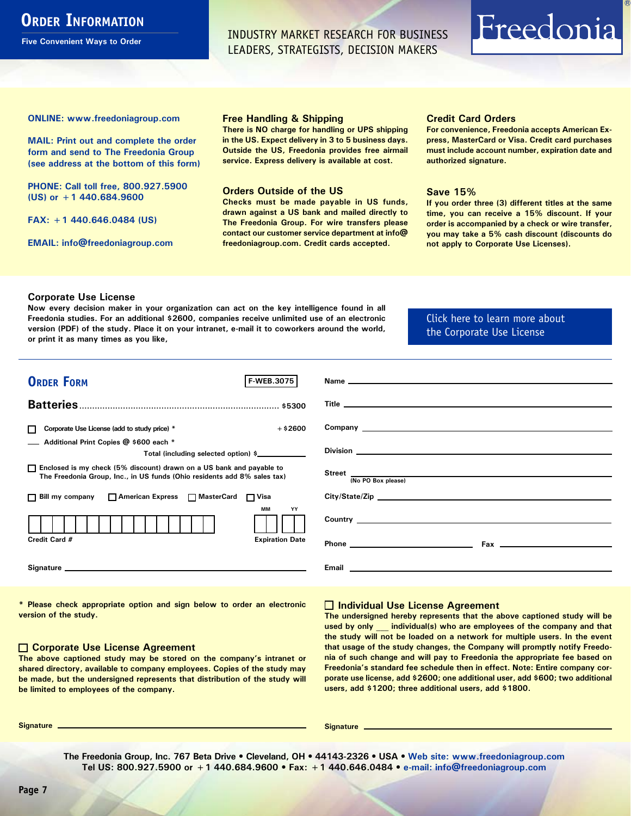## <span id="page-6-0"></span>**ORDER INFORMATION**

**Five Convenient Ways to Order**

INDUSTRY MARKET RESEARCH FOR BUSINESS LEADERS, STRATEGISTS, DECISION MAKERS

# Freedonia

**ONLINE: [www.freedoniagroup.com](http://www.freedoniagroup.com/DocumentDetails.aspx?Referrerid=FM-Bro&StudyID=3075)**

**MAIL: Print out and complete the order form and send to The Freedonia Group (see address at the bottom of this form)**

**PHONE: Call toll free, 800.927.5900 (US) or +1 440.684.9600**

**FAX: +1 440.646.0484 (US)**

**EMAIL: [info@freedoniagroup.com](mailto:info@freedoniagroup.com)**

#### **Free Handling & Shipping**

**There is NO charge for handling or UPS shipping in the US. Expect delivery in 3 to 5 business days. Outside the US, Freedonia provides free airmail service. Express delivery is available at cost.**

### **Orders Outside of the US**

**Checks must be made payable in US funds, drawn against a US bank and mailed directly to The Freedonia Group. For wire transfers please contact our customer service department at info@ freedoniagroup.com. Credit cards accepted.**

### **Credit Card Orders**

**For convenience, Freedonia accepts American Express, MasterCard or Visa. Credit card purchases must include account number, expiration date and authorized signature.**

### **Save 15%**

**If you order three (3) different titles at the same time, you can receive a 15% discount. If your order is accompanied by a check or wire transfer, you may take a 5% cash discount (discounts do not apply to Corporate Use Licenses).**

### **Corporate Use License**

**Now every decision maker in your organization can act on the key intelligence found in all Freedonia studies. For an additional \$2600, companies receive unlimited use of an electronic version (PDF) of the study. Place it on your intranet, e-mail it to coworkers around the world, or print it as many times as you like,** 

## [Click here to learn more about](http://www.freedoniagroup.com/pdf/FreedoniaCULBro.pdf)  [the Corporate Use License](http://www.freedoniagroup.com/pdf/FreedoniaCULBro.pdf)

| <b>ORDER FORM</b><br><b>F-WEB.3075</b>                                                                                                             |                                                                                                                       |
|----------------------------------------------------------------------------------------------------------------------------------------------------|-----------------------------------------------------------------------------------------------------------------------|
|                                                                                                                                                    |                                                                                                                       |
|                                                                                                                                                    |                                                                                                                       |
|                                                                                                                                                    |                                                                                                                       |
| $+$ \$2600<br>Corporate Use License (add to study price) *                                                                                         |                                                                                                                       |
| Additional Print Copies @ \$600 each *<br>Total (including selected option) \$                                                                     |                                                                                                                       |
| □ Enclosed is my check (5% discount) drawn on a US bank and payable to<br>The Freedonia Group, Inc., in US funds (Ohio residents add 8% sales tax) | Street  Mo PO Box please)                                                                                             |
|                                                                                                                                                    |                                                                                                                       |
| □ Bill my company □ American Express □ MasterCard □ Visa                                                                                           | City/State/Zip                                                                                                        |
| <b>MM</b><br>YY                                                                                                                                    |                                                                                                                       |
|                                                                                                                                                    |                                                                                                                       |
| Credit Card #<br><b>Expiration Date</b>                                                                                                            | Phone <u>_____________________________</u>                                                                            |
|                                                                                                                                                    | <b>Email 2008 - Email 2008 - Email 2008 - Annual 2008 - Annual 2008 - Annual 2008 - Annual 2008 - Annual 2008 - A</b> |
|                                                                                                                                                    |                                                                                                                       |

**\* Please check appropriate option and sign below to order an electronic version of the study.**

### **Corporate Use License Agreement**

**The above captioned study may be stored on the company's intranet or shared directory, available to company employees. Copies of the study may be made, but the undersigned represents that distribution of the study will be limited to employees of the company.**

## **Individual Use License Agreement**

**The undersigned hereby represents that the above captioned study will be used by only \_\_\_ individual(s) who are employees of the company and that the study will not be loaded on a network for multiple users. In the event that usage of the study changes, the Company will promptly notify Freedonia of such change and will pay to Freedonia the appropriate fee based on Freedonia's standard fee schedule then in effect. Note: Entire company corporate use license, add \$2600; one additional user, add \$600; two additional users, add \$1200; three additional users, add \$1800.**

**Signature Signature**

**The Freedonia Group, Inc. 767 Beta Drive • Cleveland, OH • 44143-2326 • USA • [Web site: www.freedoniagroup.com](http://www.freedoniagroup.com/Home.aspx?ReferrerId=FM-Bro) Tel US: 800.927.5900 or +1 440.684.9600 • Fax: +1 440.646.0484 • [e-mail: info@freedoniagroup.com](mailto:info@freedoniagroup.com)**